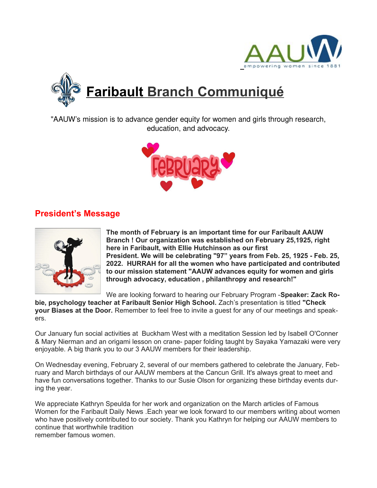



"AAUW's mission is to advance gender equity for women and girls through research, education, and advocacy.



### **President's Message**



**The month of February is an important time for our Faribault AAUW Branch ! Our organization was established on February 25,1925, right here in Faribault, with Ellie Hutchinson as our first President. We will be celebrating "97" years from Feb. 25, 1925 - Feb. 25, 2022. HURRAH for all the women who have participated and contributed to our mission statement "AAUW advances equity for women and girls through advocacy, education , philanthropy and research!"**

We are looking forward to hearing our February Program -**Speaker: Zack Ro-**

**bie, psychology teacher at Faribault Senior High School.** Zach's presentation is titled **"Check your Biases at the Door.** Remember to feel free to invite a guest for any of our meetings and speakers.

Our January fun social activities at Buckham West with a meditation Session led by Isabell O'Conner & Mary Nierman and an origami lesson on crane- paper folding taught by Sayaka Yamazaki were very enjoyable. A big thank you to our 3 AAUW members for their leadership.

On Wednesday evening, February 2, several of our members gathered to celebrate the January, February and March birthdays of our AAUW members at the Cancun Grill. It's always great to meet and have fun conversations together. Thanks to our Susie Olson for organizing these birthday events during the year.

We appreciate Kathryn Speulda for her work and organization on the March articles of Famous Women for the Faribault Daily News .Each year we look forward to our members writing about women who have positively contributed to our society. Thank you Kathryn for helping our AAUW members to continue that worthwhile tradition remember famous women.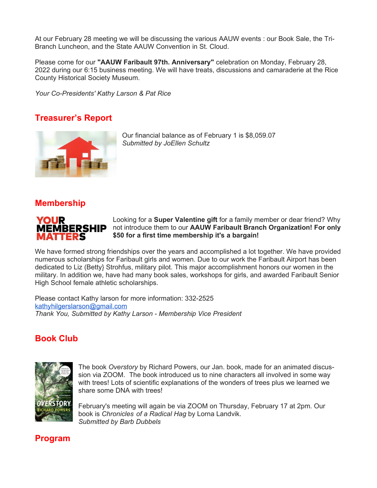At our February 28 meeting we will be discussing the various AAUW events : our Book Sale, the Tri-Branch Luncheon, and the State AAUW Convention in St. Cloud.

Please come for our **"AAUW Faribault 97th. Anniversary"** celebration on Monday, February 28, 2022 during our 6:15 business meeting. We will have treats, discussions and camaraderie at the Rice County Historical Society Museum.

*Your Co-Presidents' Kathy Larson & Pat Rice*

### **Treasurer's Report**



Our financial balance as of February 1 is \$8,059.07 *Submitted by JoEllen Schultz*

#### **Membership**



Looking for a **Super Valentine gift** for a family member or dear friend? Why not introduce them to our **AAUW Faribault Branch Organization! For only \$50 for a first time membership it's a bargain!**

We have formed strong friendships over the years and accomplished a lot together. We have provided numerous scholarships for Faribault girls and women. Due to our work the Faribault Airport has been dedicated to Liz (Betty} Strohfus, military pilot. This major accomplishment honors our women in the military. In addition we, have had many book sales, workshops for girls, and awarded Faribault Senior High School female athletic scholarships.

Please contact Kathy larson for more information: 332-2525 kathyhilgerslarson@gmail.com *Thank You, Submitted by Kathy Larson - Membership Vice President*

## **Book Club**



The book *Overstory* by Richard Powers, our Jan. book, made for an animated discussion via ZOOM. The book introduced us to nine characters all involved in some way with trees! Lots of scientific explanations of the wonders of trees plus we learned we share some DNA with trees!

February's meeting will again be via ZOOM on Thursday, February 17 at 2pm. Our book is *Chronicles of a Radical Hag* by Lorna Landvik. *Submitted by Barb Dubbels*

#### **Program**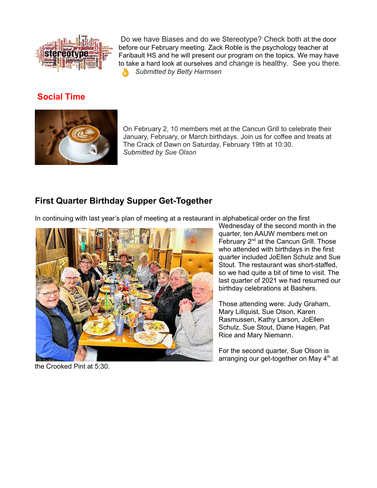

 Do we have Biases and do we Stereotype? Check both at the door before our February meeting. Zack Roble is the psychology teacher at Faribault HS and he will present our program on the topics. We may have to take a hard look at ourselves and change is healthy. See you there. *Submitted by Betty Harmsen*

# **Social Time**



On February 2, 10 members met at the Cancun Grill to celebrate their January, February, or March birthdays. Join us for coffee and treats at The Crack of Dawn on Saturday, February 19th at 10:30. *Submitted by Sue Olson*

# **First Quarter Birthday Supper Get-Together**

In continuing with last year's plan of meeting at a restaurant in alphabetical order on the first



Wednesday of the second month in the quarter, ten AAUW members met on February 2<sup>nd</sup> at the Cancun Grill. Those who attended with birthdays in the first quarter included JoEllen Schulz and Sue Stout. The restaurant was short-staffed, so we had quite a bit of time to visit. The last quarter of 2021 we had resumed our birthday celebrations at Bashers.

Those attending were: Judy Graham, Mary Lillquist, Sue Olson, Karen Rasmussen, Kathy Larson, JoEllen Schulz, Sue Stout, Diane Hagen, Pat Rice and Mary Niemann.

For the second quarter, Sue Olson is arranging our get-together on May  $4<sup>th</sup>$  at

the Crooked Pint at 5:30.